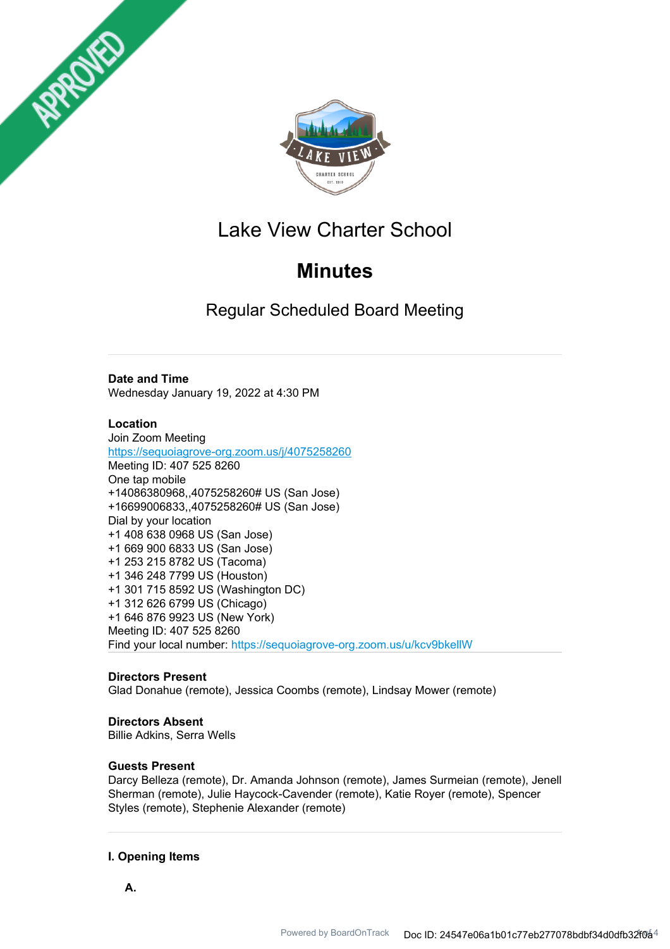



## Lake View Charter School

# **Minutes**

Regular Scheduled Board Meeting

## **Date and Time**

Wednesday January 19, 2022 at 4:30 PM

## **Location**

Join Zoom Meeting https://sequoiagrove-org.zoom.us/j/4075258260 Meeting ID: 407 525 8260 One tap mobile +14086380968,,4075258260# US (San Jose) +16699006833,,4075258260# US (San Jose) Dial by your location +1 408 638 0968 US (San Jose) +1 669 900 6833 US (San Jose) +1 253 215 8782 US (Tacoma) +1 346 248 7799 US (Houston) +1 301 715 8592 US (Washington DC) +1 312 626 6799 US (Chicago) +1 646 876 9923 US (New York) Meeting ID: 407 525 8260 Find your local number: https://sequoiagrove-org.zoom.us/u/kcv9bkellW

## **Directors Present**

Glad Donahue (remote), Jessica Coombs (remote), Lindsay Mower (remote)

## **Directors Absent**

Billie Adkins, Serra Wells

## **Guests Present**

Darcy Belleza (remote), Dr. Amanda Johnson (remote), James Surmeian (remote), Jenell Sherman (remote), Julie Haycock-Cavender (remote), Katie Royer (remote), Spencer Styles (remote), Stephenie Alexander (remote)

## **I. Opening Items**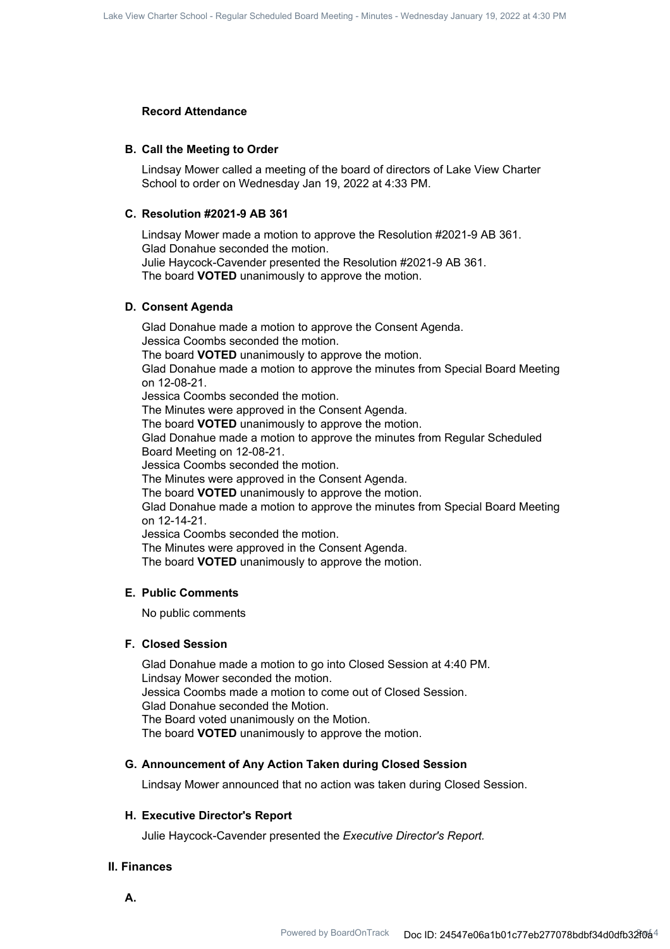#### **Record Attendance**

#### **B. Call the Meeting to Order**

Lindsay Mower called a meeting of the board of directors of Lake View Charter School to order on Wednesday Jan 19, 2022 at 4:33 PM.

#### **C. Resolution #2021-9 AB 361**

Lindsay Mower made a motion to approve the Resolution #2021-9 AB 361. Glad Donahue seconded the motion. Julie Haycock-Cavender presented the Resolution #2021-9 AB 361. The board **VOTED** unanimously to approve the motion.

#### **D. Consent Agenda**

Glad Donahue made a motion to approve the Consent Agenda. Jessica Coombs seconded the motion. The board **VOTED** unanimously to approve the motion. Glad Donahue made a motion to approve the minutes from Special Board Meeting on 12-08-21. Jessica Coombs seconded the motion. The Minutes were approved in the Consent Agenda. The board **VOTED** unanimously to approve the motion. Glad Donahue made a motion to approve the minutes from Regular Scheduled Board Meeting on 12-08-21. Jessica Coombs seconded the motion. The Minutes were approved in the Consent Agenda. The board **VOTED** unanimously to approve the motion. Glad Donahue made a motion to approve the minutes from Special Board Meeting on 12-14-21. Jessica Coombs seconded the motion. The Minutes were approved in the Consent Agenda. The board **VOTED** unanimously to approve the motion.

#### **E. Public Comments**

No public comments

#### **F. Closed Session**

Glad Donahue made a motion to go into Closed Session at 4:40 PM. Lindsay Mower seconded the motion. Jessica Coombs made a motion to come out of Closed Session. Glad Donahue seconded the Motion. The Board voted unanimously on the Motion. The board **VOTED** unanimously to approve the motion.

#### **G. Announcement of Any Action Taken during Closed Session**

Lindsay Mower announced that no action was taken during Closed Session.

#### **H. Executive Director's Report**

Julie Haycock-Cavender presented the *Executive Director's Report.*

#### **II. Finances**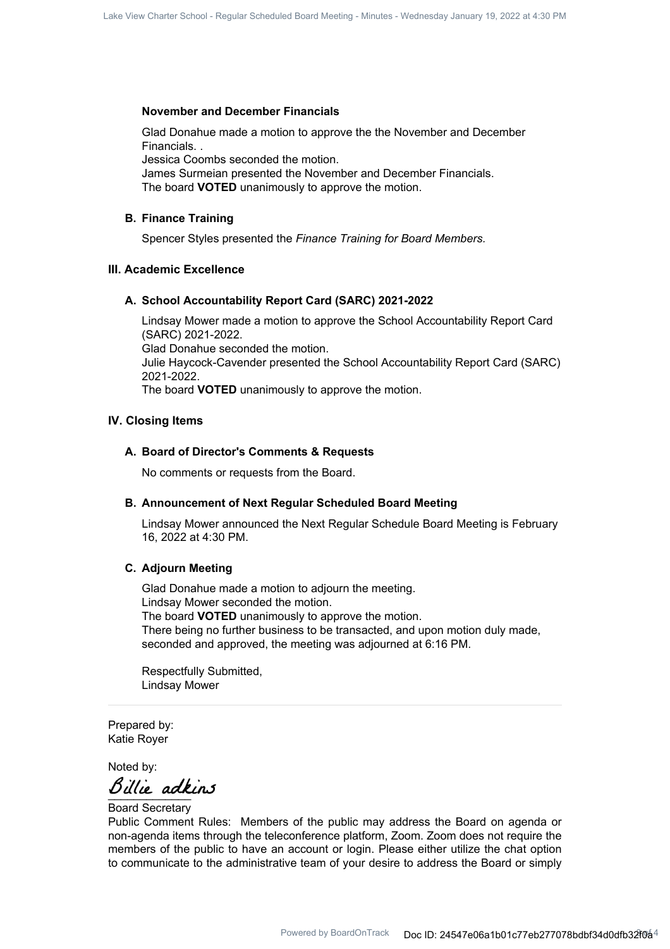#### **November and December Financials**

Glad Donahue made a motion to approve the the November and December Financials. .

Jessica Coombs seconded the motion.

James Surmeian presented the November and December Financials. The board **VOTED** unanimously to approve the motion.

#### **B. Finance Training**

Spencer Styles presented the *Finance Training for Board Members.*

### **III. Academic Excellence**

#### **A. School Accountability Report Card (SARC) 2021-2022**

Lindsay Mower made a motion to approve the School Accountability Report Card (SARC) 2021-2022. Glad Donahue seconded the motion. Julie Haycock-Cavender presented the School Accountability Report Card (SARC) 2021-2022. The board **VOTED** unanimously to approve the motion.

#### **IV. Closing Items**

#### **A. Board of Director's Comments & Requests**

No comments or requests from the Board.

#### **B. Announcement of Next Regular Scheduled Board Meeting**

Lindsay Mower announced the Next Regular Schedule Board Meeting is February 16, 2022 at 4:30 PM.

#### **C. Adjourn Meeting**

Glad Donahue made a motion to adjourn the meeting. Lindsay Mower seconded the motion. The board **VOTED** unanimously to approve the motion. There being no further business to be transacted, and upon motion duly made, seconded and approved, the meeting was adjourned at 6:16 PM.

Respectfully Submitted, Lindsay Mower

Prepared by: Katie Royer

Noted by:

Billie adkins

Board Secretary

Public Comment Rules: Members of the public may address the Board on agenda or non-agenda items through the teleconference platform, Zoom. Zoom does not require the members of the public to have an account or login. Please either utilize the chat option to communicate to the administrative team of your desire to address the Board or simply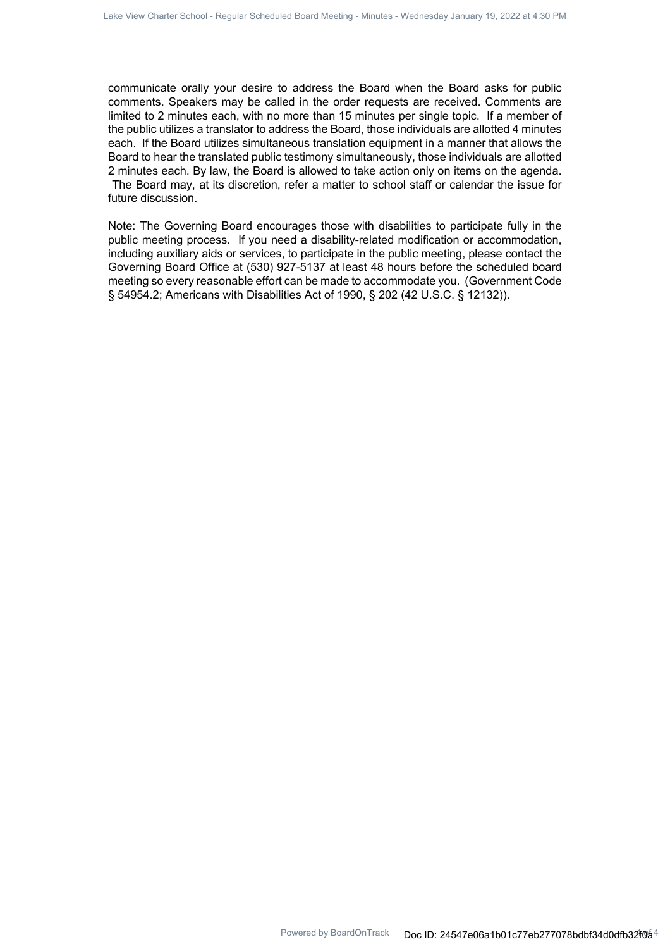communicate orally your desire to address the Board when the Board asks for public comments. Speakers may be called in the order requests are received. Comments are limited to 2 minutes each, with no more than 15 minutes per single topic. If a member of the public utilizes a translator to address the Board, those individuals are allotted 4 minutes each. If the Board utilizes simultaneous translation equipment in a manner that allows the Board to hear the translated public testimony simultaneously, those individuals are allotted 2 minutes each. By law, the Board is allowed to take action only on items on the agenda. The Board may, at its discretion, refer a matter to school staff or calendar the issue for future discussion.

Note: The Governing Board encourages those with disabilities to participate fully in the public meeting process. If you need a disability-related modification or accommodation, including auxiliary aids or services, to participate in the public meeting, please contact the Governing Board Office at (530) 927-5137 at least 48 hours before the scheduled board meeting so every reasonable effort can be made to accommodate you. (Government Code § 54954.2; Americans with Disabilities Act of 1990, § 202 (42 U.S.C. § 12132)).